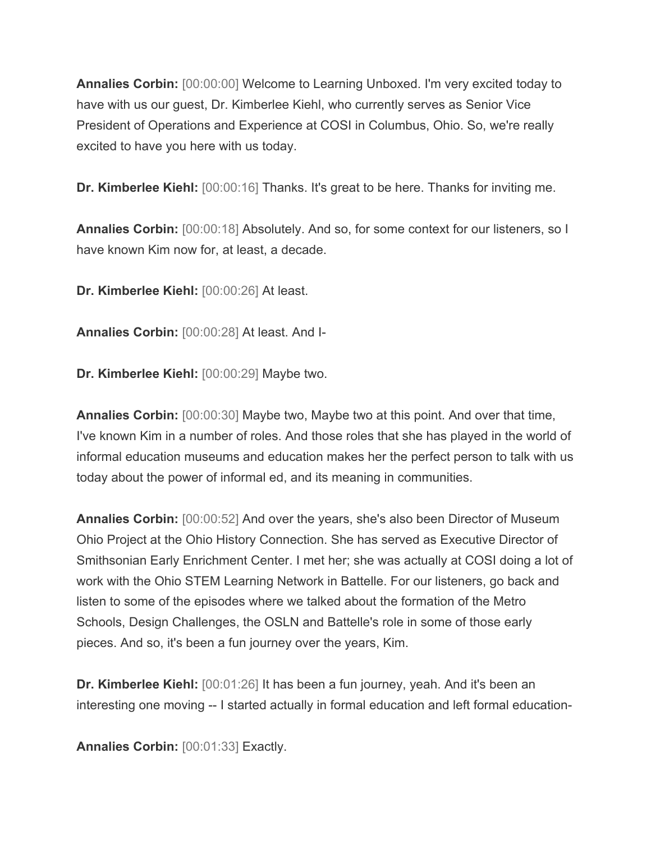**Annalies Corbin:** [00:00:00] Welcome to Learning Unboxed. I'm very excited today to have with us our guest, Dr. Kimberlee Kiehl, who currently serves as Senior Vice President of Operations and Experience at COSI in Columbus, Ohio. So, we're really excited to have you here with us today.

**Dr. Kimberlee Kiehl:** [00:00:16] Thanks. It's great to be here. Thanks for inviting me.

**Annalies Corbin:** [00:00:18] Absolutely. And so, for some context for our listeners, so I have known Kim now for, at least, a decade.

**Dr. Kimberlee Kiehl:** [00:00:26] At least.

**Annalies Corbin:** [00:00:28] At least. And I-

**Dr. Kimberlee Kiehl:** [00:00:29] Maybe two.

**Annalies Corbin:** [00:00:30] Maybe two, Maybe two at this point. And over that time, I've known Kim in a number of roles. And those roles that she has played in the world of informal education museums and education makes her the perfect person to talk with us today about the power of informal ed, and its meaning in communities.

**Annalies Corbin:** [00:00:52] And over the years, she's also been Director of Museum Ohio Project at the Ohio History Connection. She has served as Executive Director of Smithsonian Early Enrichment Center. I met her; she was actually at COSI doing a lot of work with the Ohio STEM Learning Network in Battelle. For our listeners, go back and listen to some of the episodes where we talked about the formation of the Metro Schools, Design Challenges, the OSLN and Battelle's role in some of those early pieces. And so, it's been a fun journey over the years, Kim.

**Dr. Kimberlee Kiehl:** [00:01:26] It has been a fun journey, yeah. And it's been an interesting one moving -- I started actually in formal education and left formal education-

**Annalies Corbin:** [00:01:33] Exactly.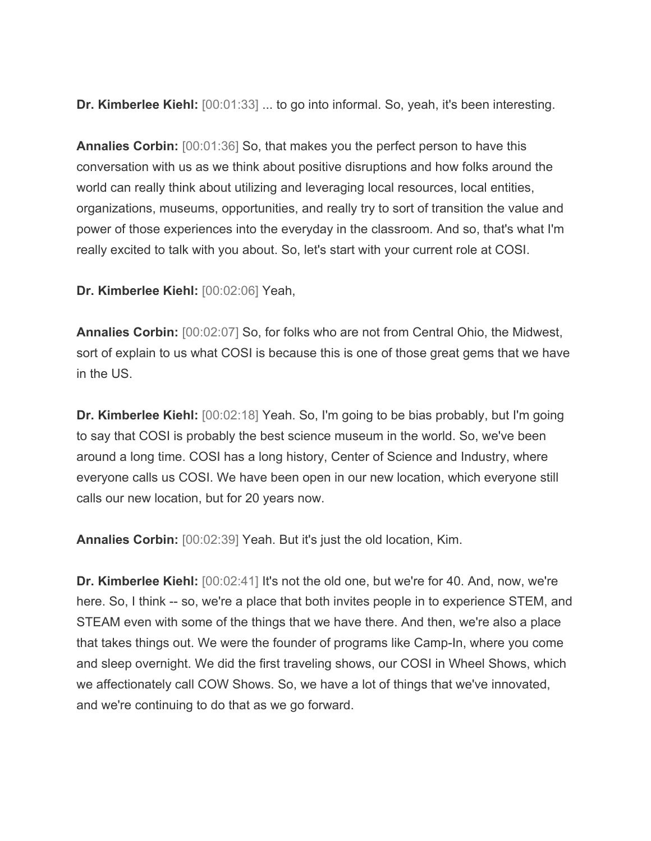**Dr. Kimberlee Kiehl:** [00:01:33] ... to go into informal. So, yeah, it's been interesting.

**Annalies Corbin:** [00:01:36] So, that makes you the perfect person to have this conversation with us as we think about positive disruptions and how folks around the world can really think about utilizing and leveraging local resources, local entities, organizations, museums, opportunities, and really try to sort of transition the value and power of those experiences into the everyday in the classroom. And so, that's what I'm really excited to talk with you about. So, let's start with your current role at COSI.

**Dr. Kimberlee Kiehl:** [00:02:06] Yeah,

**Annalies Corbin:** [00:02:07] So, for folks who are not from Central Ohio, the Midwest, sort of explain to us what COSI is because this is one of those great gems that we have in the US.

**Dr. Kimberlee Kiehl:** [00:02:18] Yeah. So, I'm going to be bias probably, but I'm going to say that COSI is probably the best science museum in the world. So, we've been around a long time. COSI has a long history, Center of Science and Industry, where everyone calls us COSI. We have been open in our new location, which everyone still calls our new location, but for 20 years now.

**Annalies Corbin:** [00:02:39] Yeah. But it's just the old location, Kim.

**Dr. Kimberlee Kiehl:** [00:02:41] It's not the old one, but we're for 40. And, now, we're here. So, I think -- so, we're a place that both invites people in to experience STEM, and STEAM even with some of the things that we have there. And then, we're also a place that takes things out. We were the founder of programs like Camp-In, where you come and sleep overnight. We did the first traveling shows, our COSI in Wheel Shows, which we affectionately call COW Shows. So, we have a lot of things that we've innovated, and we're continuing to do that as we go forward.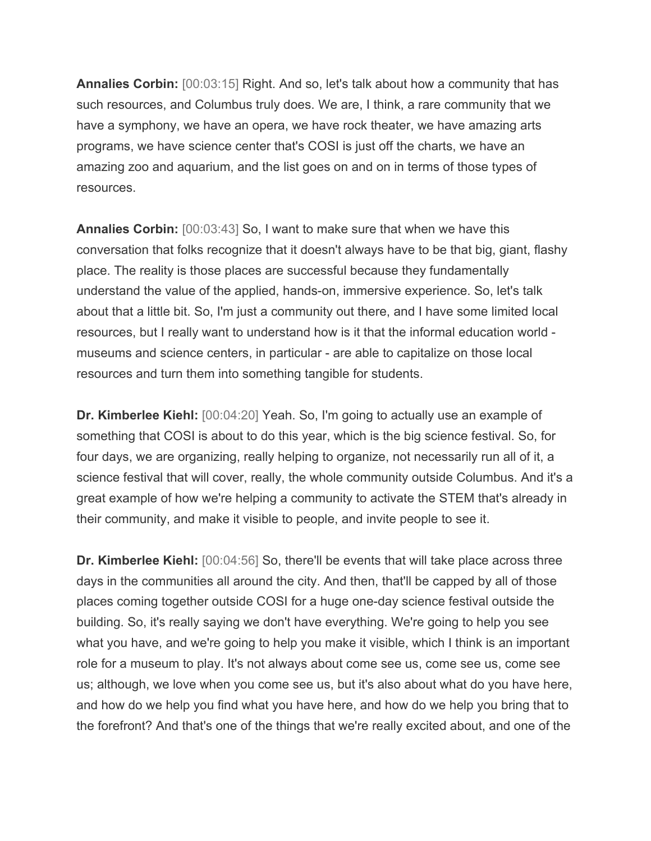**Annalies Corbin:** [00:03:15] Right. And so, let's talk about how a community that has such resources, and Columbus truly does. We are, I think, a rare community that we have a symphony, we have an opera, we have rock theater, we have amazing arts programs, we have science center that's COSI is just off the charts, we have an amazing zoo and aquarium, and the list goes on and on in terms of those types of resources.

**Annalies Corbin:** [00:03:43] So, I want to make sure that when we have this conversation that folks recognize that it doesn't always have to be that big, giant, flashy place. The reality is those places are successful because they fundamentally understand the value of the applied, hands-on, immersive experience. So, let's talk about that a little bit. So, I'm just a community out there, and I have some limited local resources, but I really want to understand how is it that the informal education world museums and science centers, in particular - are able to capitalize on those local resources and turn them into something tangible for students.

**Dr. Kimberlee Kiehl:** [00:04:20] Yeah. So, I'm going to actually use an example of something that COSI is about to do this year, which is the big science festival. So, for four days, we are organizing, really helping to organize, not necessarily run all of it, a science festival that will cover, really, the whole community outside Columbus. And it's a great example of how we're helping a community to activate the STEM that's already in their community, and make it visible to people, and invite people to see it.

**Dr. Kimberlee Kiehl:** [00:04:56] So, there'll be events that will take place across three days in the communities all around the city. And then, that'll be capped by all of those places coming together outside COSI for a huge one-day science festival outside the building. So, it's really saying we don't have everything. We're going to help you see what you have, and we're going to help you make it visible, which I think is an important role for a museum to play. It's not always about come see us, come see us, come see us; although, we love when you come see us, but it's also about what do you have here, and how do we help you find what you have here, and how do we help you bring that to the forefront? And that's one of the things that we're really excited about, and one of the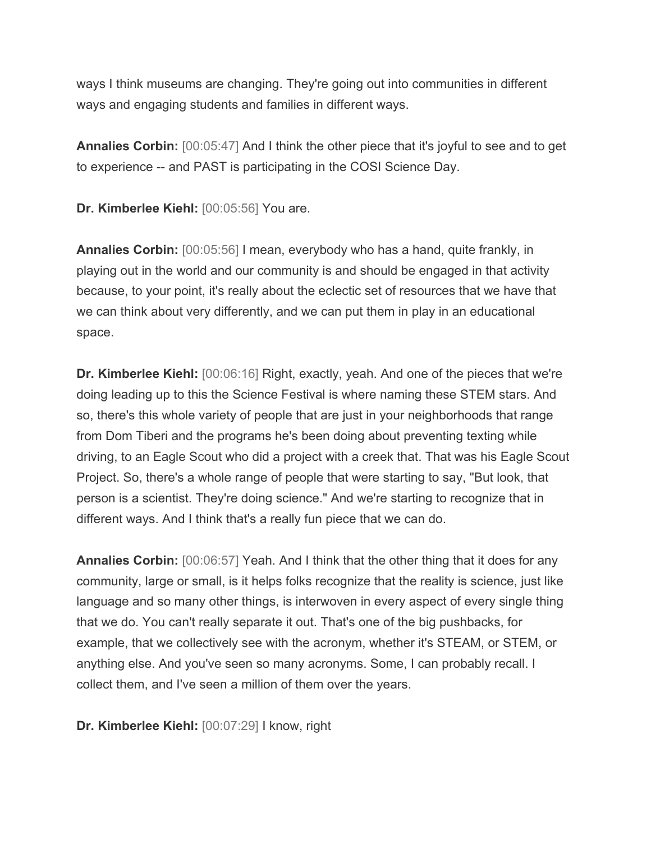ways I think museums are changing. They're going out into communities in different ways and engaging students and families in different ways.

**Annalies Corbin:** [00:05:47] And I think the other piece that it's joyful to see and to get to experience -- and PAST is participating in the COSI Science Day.

**Dr. Kimberlee Kiehl:** [00:05:56] You are.

**Annalies Corbin:** [00:05:56] I mean, everybody who has a hand, quite frankly, in playing out in the world and our community is and should be engaged in that activity because, to your point, it's really about the eclectic set of resources that we have that we can think about very differently, and we can put them in play in an educational space.

**Dr. Kimberlee Kiehl:** [00:06:16] Right, exactly, yeah. And one of the pieces that we're doing leading up to this the Science Festival is where naming these STEM stars. And so, there's this whole variety of people that are just in your neighborhoods that range from Dom Tiberi and the programs he's been doing about preventing texting while driving, to an Eagle Scout who did a project with a creek that. That was his Eagle Scout Project. So, there's a whole range of people that were starting to say, "But look, that person is a scientist. They're doing science." And we're starting to recognize that in different ways. And I think that's a really fun piece that we can do.

**Annalies Corbin:** [00:06:57] Yeah. And I think that the other thing that it does for any community, large or small, is it helps folks recognize that the reality is science, just like language and so many other things, is interwoven in every aspect of every single thing that we do. You can't really separate it out. That's one of the big pushbacks, for example, that we collectively see with the acronym, whether it's STEAM, or STEM, or anything else. And you've seen so many acronyms. Some, I can probably recall. I collect them, and I've seen a million of them over the years.

**Dr. Kimberlee Kiehl:** [00:07:29] I know, right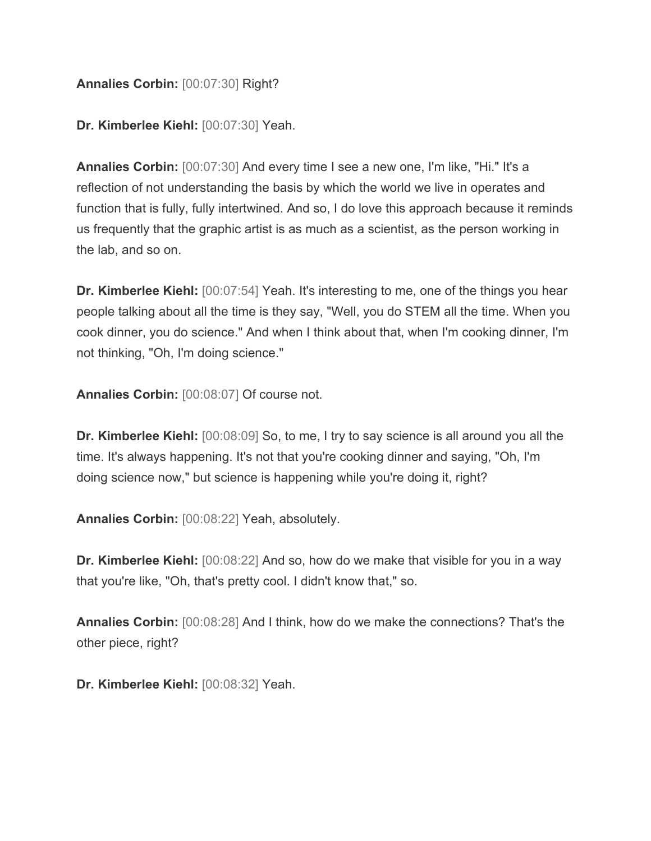## **Annalies Corbin:** [00:07:30] Right?

**Dr. Kimberlee Kiehl:** [00:07:30] Yeah.

**Annalies Corbin:** [00:07:30] And every time I see a new one, I'm like, "Hi." It's a reflection of not understanding the basis by which the world we live in operates and function that is fully, fully intertwined. And so, I do love this approach because it reminds us frequently that the graphic artist is as much as a scientist, as the person working in the lab, and so on.

**Dr. Kimberlee Kiehl:** [00:07:54] Yeah. It's interesting to me, one of the things you hear people talking about all the time is they say, "Well, you do STEM all the time. When you cook dinner, you do science." And when I think about that, when I'm cooking dinner, I'm not thinking, "Oh, I'm doing science."

**Annalies Corbin:** [00:08:07] Of course not.

**Dr. Kimberlee Kiehl:** [00:08:09] So, to me, I try to say science is all around you all the time. It's always happening. It's not that you're cooking dinner and saying, "Oh, I'm doing science now," but science is happening while you're doing it, right?

**Annalies Corbin:** [00:08:22] Yeah, absolutely.

**Dr. Kimberlee Kiehl:** [00:08:22] And so, how do we make that visible for you in a way that you're like, "Oh, that's pretty cool. I didn't know that," so.

**Annalies Corbin:** [00:08:28] And I think, how do we make the connections? That's the other piece, right?

**Dr. Kimberlee Kiehl:** [00:08:32] Yeah.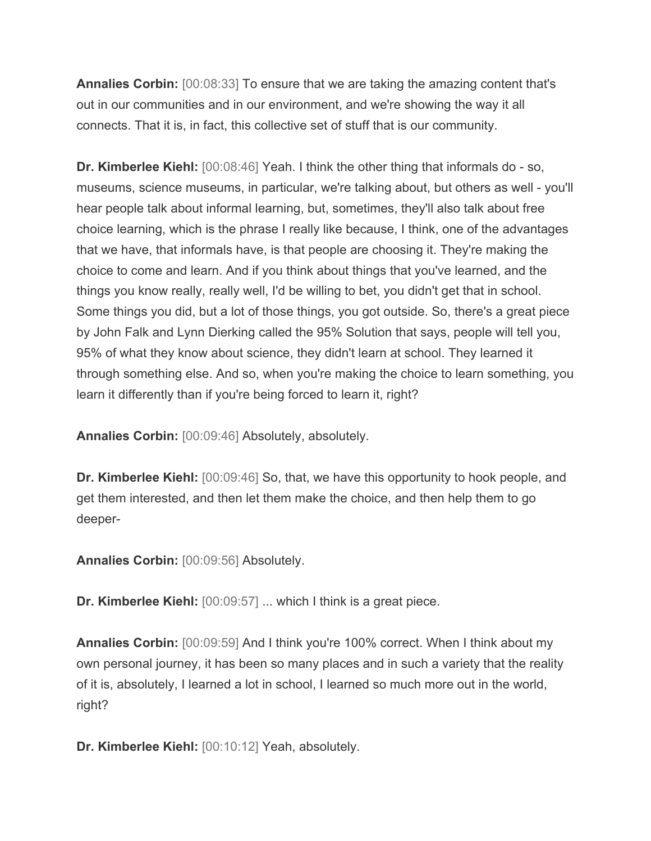**Annalies Corbin:** [00:08:33] To ensure that we are taking the amazing content that's out in our communities and in our environment, and we're showing the way it all connects. That it is, in fact, this collective set of stuff that is our community.

**Dr. Kimberlee Kiehl:** [00:08:46] Yeah. I think the other thing that informals do - so, museums, science museums, in particular, we're talking about, but others as well - you'll hear people talk about informal learning, but, sometimes, they'll also talk about free choice learning, which is the phrase I really like because, I think, one of the advantages that we have, that informals have, is that people are choosing it. They're making the choice to come and learn. And if you think about things that you've learned, and the things you know really, really well, I'd be willing to bet, you didn't get that in school. Some things you did, but a lot of those things, you got outside. So, there's a great piece by John Falk and Lynn Dierking called the 95% Solution that says, people will tell you, 95% of what they know about science, they didn't learn at school. They learned it through something else. And so, when you're making the choice to learn something, you learn it differently than if you're being forced to learn it, right?

**Annalies Corbin:** [00:09:46] Absolutely, absolutely.

**Dr. Kimberlee Kiehl:** [00:09:46] So, that, we have this opportunity to hook people, and get them interested, and then let them make the choice, and then help them to go deeper-

**Annalies Corbin:** [00:09:56] Absolutely.

**Dr. Kimberlee Kiehl:** [00:09:57] ... which I think is a great piece.

**Annalies Corbin:** [00:09:59] And I think you're 100% correct. When I think about my own personal journey, it has been so many places and in such a variety that the reality of it is, absolutely, I learned a lot in school, I learned so much more out in the world, right?

**Dr. Kimberlee Kiehl:** [00:10:12] Yeah, absolutely.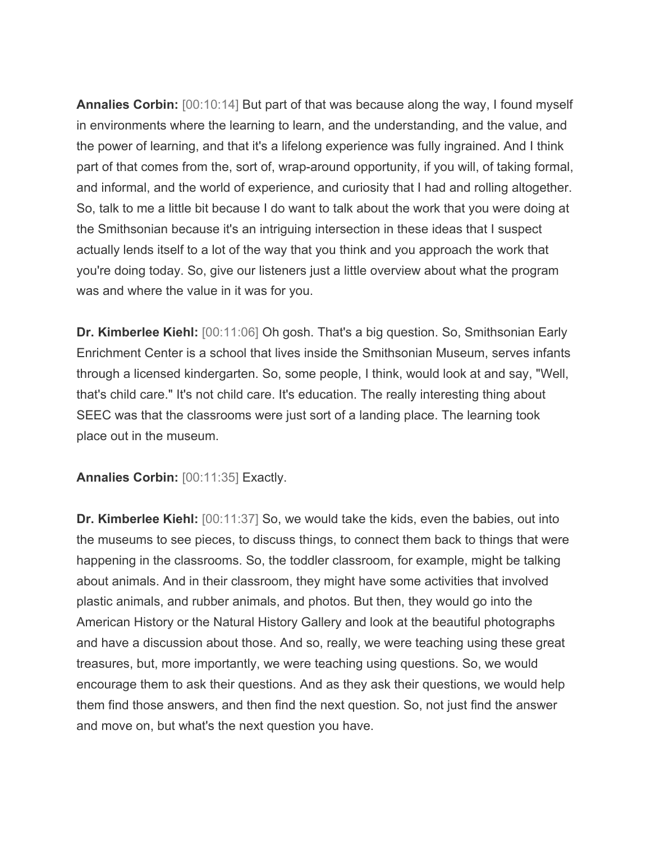**Annalies Corbin:** [00:10:14] But part of that was because along the way, I found myself in environments where the learning to learn, and the understanding, and the value, and the power of learning, and that it's a lifelong experience was fully ingrained. And I think part of that comes from the, sort of, wrap-around opportunity, if you will, of taking formal, and informal, and the world of experience, and curiosity that I had and rolling altogether. So, talk to me a little bit because I do want to talk about the work that you were doing at the Smithsonian because it's an intriguing intersection in these ideas that I suspect actually lends itself to a lot of the way that you think and you approach the work that you're doing today. So, give our listeners just a little overview about what the program was and where the value in it was for you.

**Dr. Kimberlee Kiehl:** [00:11:06] Oh gosh. That's a big question. So, Smithsonian Early Enrichment Center is a school that lives inside the Smithsonian Museum, serves infants through a licensed kindergarten. So, some people, I think, would look at and say, "Well, that's child care." It's not child care. It's education. The really interesting thing about SEEC was that the classrooms were just sort of a landing place. The learning took place out in the museum.

**Annalies Corbin:** [00:11:35] Exactly.

**Dr. Kimberlee Kiehl:** [00:11:37] So, we would take the kids, even the babies, out into the museums to see pieces, to discuss things, to connect them back to things that were happening in the classrooms. So, the toddler classroom, for example, might be talking about animals. And in their classroom, they might have some activities that involved plastic animals, and rubber animals, and photos. But then, they would go into the American History or the Natural History Gallery and look at the beautiful photographs and have a discussion about those. And so, really, we were teaching using these great treasures, but, more importantly, we were teaching using questions. So, we would encourage them to ask their questions. And as they ask their questions, we would help them find those answers, and then find the next question. So, not just find the answer and move on, but what's the next question you have.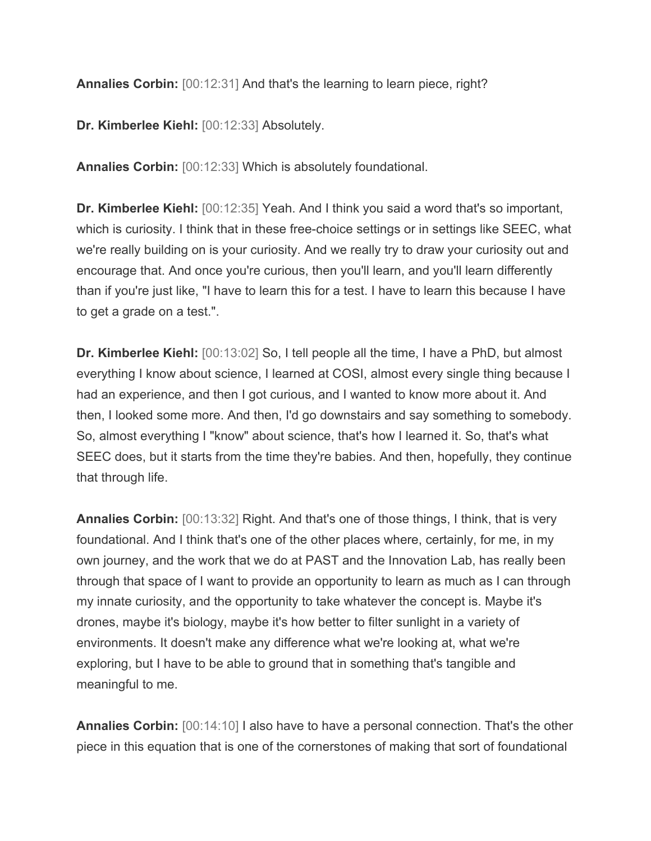**Annalies Corbin:** [00:12:31] And that's the learning to learn piece, right?

**Dr. Kimberlee Kiehl:** [00:12:33] Absolutely.

**Annalies Corbin:** [00:12:33] Which is absolutely foundational.

**Dr. Kimberlee Kiehl:** [00:12:35] Yeah. And I think you said a word that's so important, which is curiosity. I think that in these free-choice settings or in settings like SEEC, what we're really building on is your curiosity. And we really try to draw your curiosity out and encourage that. And once you're curious, then you'll learn, and you'll learn differently than if you're just like, "I have to learn this for a test. I have to learn this because I have to get a grade on a test.".

**Dr. Kimberlee Kiehl:** [00:13:02] So, I tell people all the time, I have a PhD, but almost everything I know about science, I learned at COSI, almost every single thing because I had an experience, and then I got curious, and I wanted to know more about it. And then, I looked some more. And then, I'd go downstairs and say something to somebody. So, almost everything I "know" about science, that's how I learned it. So, that's what SEEC does, but it starts from the time they're babies. And then, hopefully, they continue that through life.

**Annalies Corbin:** [00:13:32] Right. And that's one of those things, I think, that is very foundational. And I think that's one of the other places where, certainly, for me, in my own journey, and the work that we do at PAST and the Innovation Lab, has really been through that space of I want to provide an opportunity to learn as much as I can through my innate curiosity, and the opportunity to take whatever the concept is. Maybe it's drones, maybe it's biology, maybe it's how better to filter sunlight in a variety of environments. It doesn't make any difference what we're looking at, what we're exploring, but I have to be able to ground that in something that's tangible and meaningful to me.

**Annalies Corbin:** [00:14:10] I also have to have a personal connection. That's the other piece in this equation that is one of the cornerstones of making that sort of foundational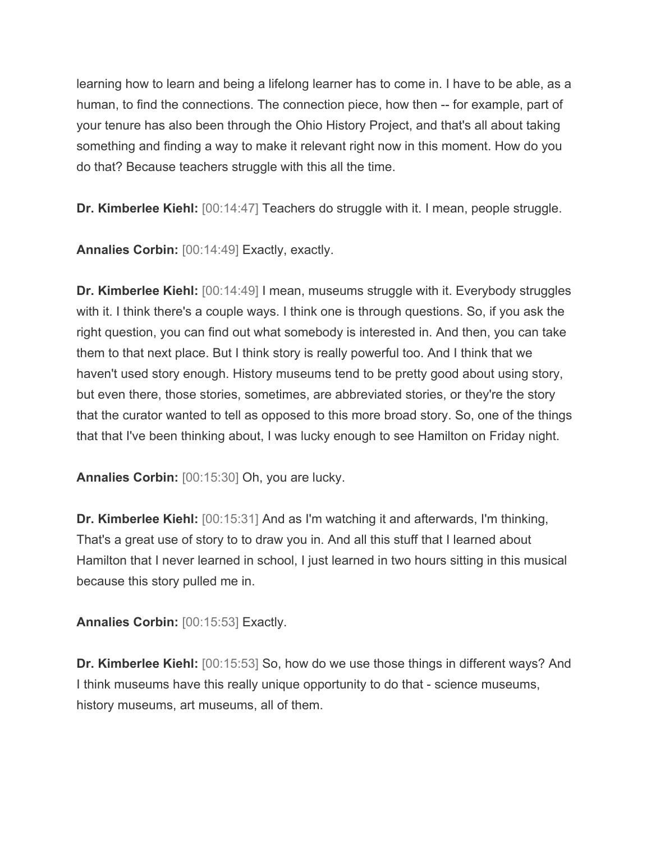learning how to learn and being a lifelong learner has to come in. I have to be able, as a human, to find the connections. The connection piece, how then -- for example, part of your tenure has also been through the Ohio History Project, and that's all about taking something and finding a way to make it relevant right now in this moment. How do you do that? Because teachers struggle with this all the time.

**Dr. Kimberlee Kiehl:** [00:14:47] Teachers do struggle with it. I mean, people struggle.

**Annalies Corbin:** [00:14:49] Exactly, exactly.

**Dr. Kimberlee Kiehl:** [00:14:49] I mean, museums struggle with it. Everybody struggles with it. I think there's a couple ways. I think one is through questions. So, if you ask the right question, you can find out what somebody is interested in. And then, you can take them to that next place. But I think story is really powerful too. And I think that we haven't used story enough. History museums tend to be pretty good about using story, but even there, those stories, sometimes, are abbreviated stories, or they're the story that the curator wanted to tell as opposed to this more broad story. So, one of the things that that I've been thinking about, I was lucky enough to see Hamilton on Friday night.

**Annalies Corbin:** [00:15:30] Oh, you are lucky.

**Dr. Kimberlee Kiehl:** [00:15:31] And as I'm watching it and afterwards, I'm thinking, That's a great use of story to to draw you in. And all this stuff that I learned about Hamilton that I never learned in school, I just learned in two hours sitting in this musical because this story pulled me in.

**Annalies Corbin:** [00:15:53] Exactly.

**Dr. Kimberlee Kiehl:** [00:15:53] So, how do we use those things in different ways? And I think museums have this really unique opportunity to do that - science museums, history museums, art museums, all of them.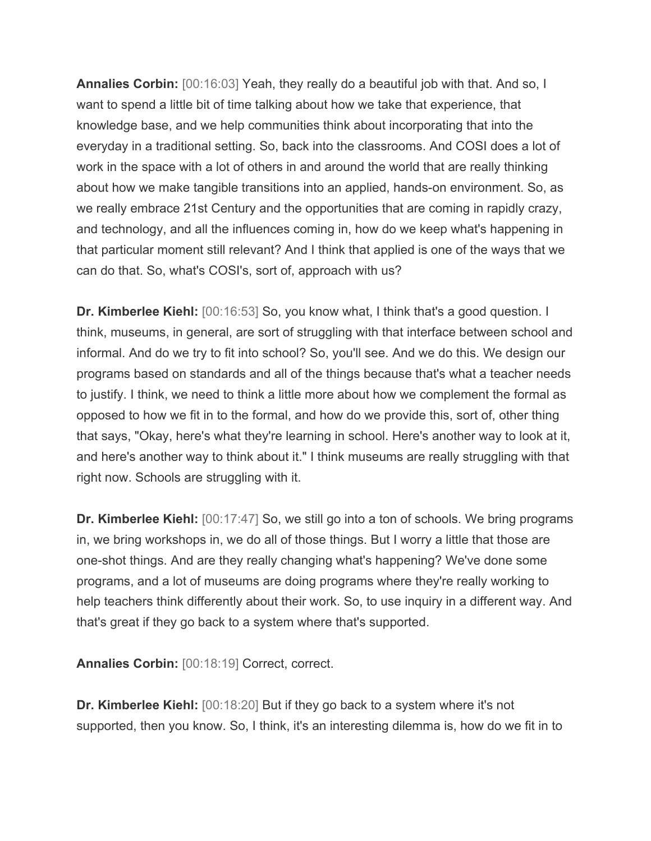**Annalies Corbin:** [00:16:03] Yeah, they really do a beautiful job with that. And so, I want to spend a little bit of time talking about how we take that experience, that knowledge base, and we help communities think about incorporating that into the everyday in a traditional setting. So, back into the classrooms. And COSI does a lot of work in the space with a lot of others in and around the world that are really thinking about how we make tangible transitions into an applied, hands-on environment. So, as we really embrace 21st Century and the opportunities that are coming in rapidly crazy, and technology, and all the influences coming in, how do we keep what's happening in that particular moment still relevant? And I think that applied is one of the ways that we can do that. So, what's COSI's, sort of, approach with us?

**Dr. Kimberlee Kiehl:** [00:16:53] So, you know what, I think that's a good question. I think, museums, in general, are sort of struggling with that interface between school and informal. And do we try to fit into school? So, you'll see. And we do this. We design our programs based on standards and all of the things because that's what a teacher needs to justify. I think, we need to think a little more about how we complement the formal as opposed to how we fit in to the formal, and how do we provide this, sort of, other thing that says, "Okay, here's what they're learning in school. Here's another way to look at it, and here's another way to think about it." I think museums are really struggling with that right now. Schools are struggling with it.

**Dr. Kimberlee Kiehl:** [00:17:47] So, we still go into a ton of schools. We bring programs in, we bring workshops in, we do all of those things. But I worry a little that those are one-shot things. And are they really changing what's happening? We've done some programs, and a lot of museums are doing programs where they're really working to help teachers think differently about their work. So, to use inquiry in a different way. And that's great if they go back to a system where that's supported.

**Annalies Corbin:** [00:18:19] Correct, correct.

**Dr. Kimberlee Kiehl:** [00:18:20] But if they go back to a system where it's not supported, then you know. So, I think, it's an interesting dilemma is, how do we fit in to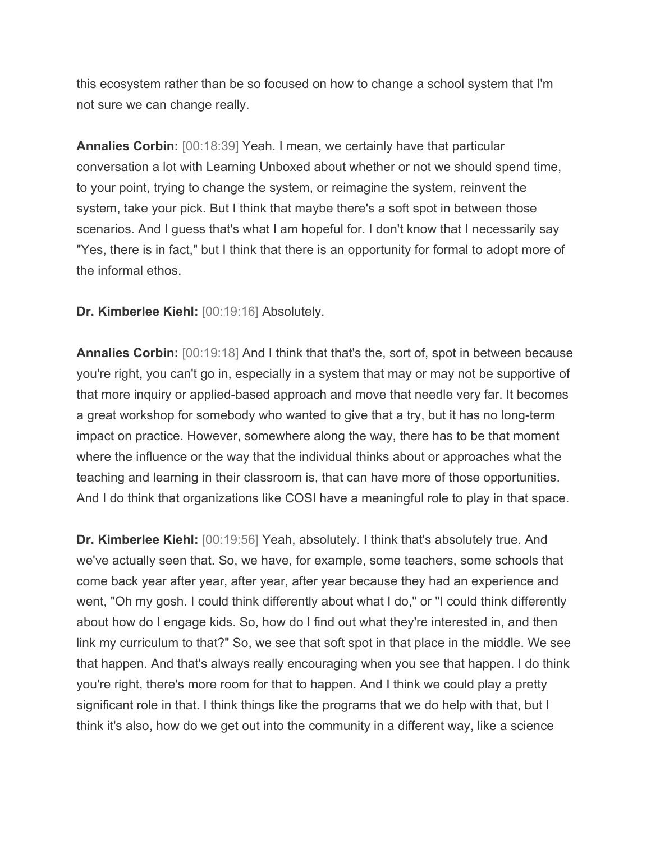this ecosystem rather than be so focused on how to change a school system that I'm not sure we can change really.

**Annalies Corbin:** [00:18:39] Yeah. I mean, we certainly have that particular conversation a lot with Learning Unboxed about whether or not we should spend time, to your point, trying to change the system, or reimagine the system, reinvent the system, take your pick. But I think that maybe there's a soft spot in between those scenarios. And I guess that's what I am hopeful for. I don't know that I necessarily say "Yes, there is in fact," but I think that there is an opportunity for formal to adopt more of the informal ethos.

## **Dr. Kimberlee Kiehl:** [00:19:16] Absolutely.

**Annalies Corbin:** [00:19:18] And I think that that's the, sort of, spot in between because you're right, you can't go in, especially in a system that may or may not be supportive of that more inquiry or applied-based approach and move that needle very far. It becomes a great workshop for somebody who wanted to give that a try, but it has no long-term impact on practice. However, somewhere along the way, there has to be that moment where the influence or the way that the individual thinks about or approaches what the teaching and learning in their classroom is, that can have more of those opportunities. And I do think that organizations like COSI have a meaningful role to play in that space.

**Dr. Kimberlee Kiehl:** [00:19:56] Yeah, absolutely. I think that's absolutely true. And we've actually seen that. So, we have, for example, some teachers, some schools that come back year after year, after year, after year because they had an experience and went, "Oh my gosh. I could think differently about what I do," or "I could think differently about how do I engage kids. So, how do I find out what they're interested in, and then link my curriculum to that?" So, we see that soft spot in that place in the middle. We see that happen. And that's always really encouraging when you see that happen. I do think you're right, there's more room for that to happen. And I think we could play a pretty significant role in that. I think things like the programs that we do help with that, but I think it's also, how do we get out into the community in a different way, like a science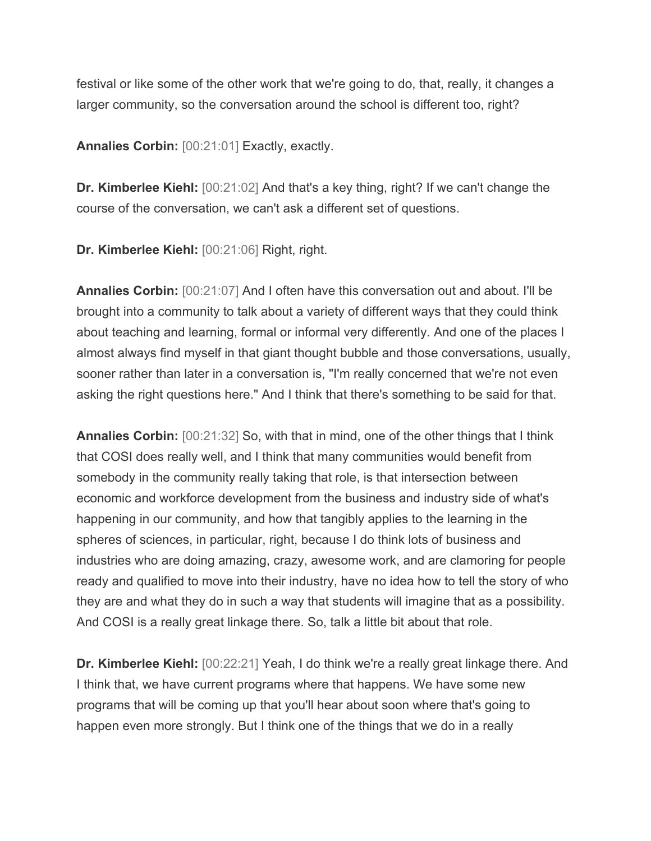festival or like some of the other work that we're going to do, that, really, it changes a larger community, so the conversation around the school is different too, right?

**Annalies Corbin:** [00:21:01] Exactly, exactly.

**Dr. Kimberlee Kiehl:** [00:21:02] And that's a key thing, right? If we can't change the course of the conversation, we can't ask a different set of questions.

**Dr. Kimberlee Kiehl:** [00:21:06] Right, right.

**Annalies Corbin:** [00:21:07] And I often have this conversation out and about. I'll be brought into a community to talk about a variety of different ways that they could think about teaching and learning, formal or informal very differently. And one of the places I almost always find myself in that giant thought bubble and those conversations, usually, sooner rather than later in a conversation is, "I'm really concerned that we're not even asking the right questions here." And I think that there's something to be said for that.

**Annalies Corbin:** [00:21:32] So, with that in mind, one of the other things that I think that COSI does really well, and I think that many communities would benefit from somebody in the community really taking that role, is that intersection between economic and workforce development from the business and industry side of what's happening in our community, and how that tangibly applies to the learning in the spheres of sciences, in particular, right, because I do think lots of business and industries who are doing amazing, crazy, awesome work, and are clamoring for people ready and qualified to move into their industry, have no idea how to tell the story of who they are and what they do in such a way that students will imagine that as a possibility. And COSI is a really great linkage there. So, talk a little bit about that role.

**Dr. Kimberlee Kiehl:** [00:22:21] Yeah, I do think we're a really great linkage there. And I think that, we have current programs where that happens. We have some new programs that will be coming up that you'll hear about soon where that's going to happen even more strongly. But I think one of the things that we do in a really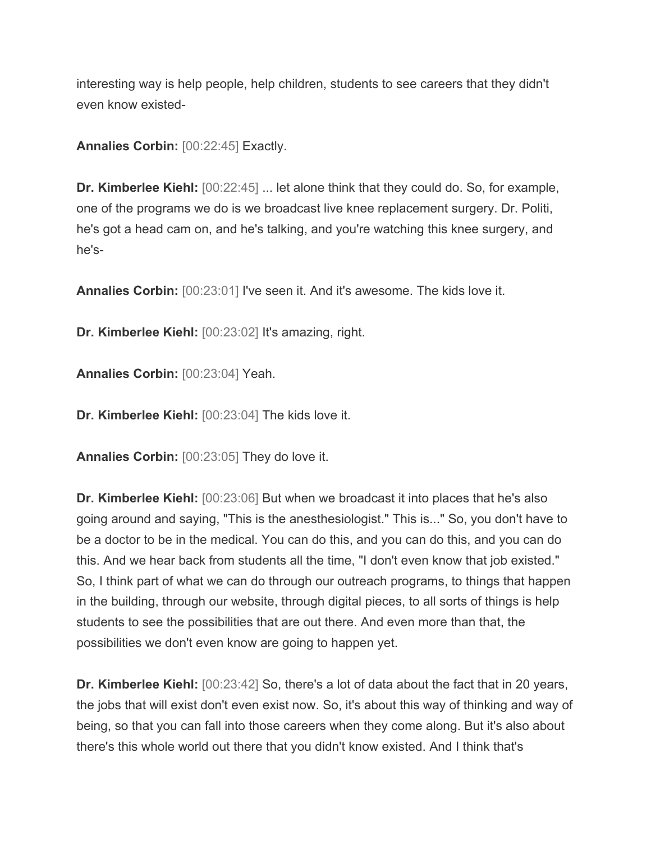interesting way is help people, help children, students to see careers that they didn't even know existed-

**Annalies Corbin:** [00:22:45] Exactly.

**Dr. Kimberlee Kiehl:** [00:22:45] ... let alone think that they could do. So, for example, one of the programs we do is we broadcast live knee replacement surgery. Dr. Politi, he's got a head cam on, and he's talking, and you're watching this knee surgery, and he's-

**Annalies Corbin:** [00:23:01] I've seen it. And it's awesome. The kids love it.

**Dr. Kimberlee Kiehl:** [00:23:02] It's amazing, right.

**Annalies Corbin:** [00:23:04] Yeah.

**Dr. Kimberlee Kiehl:** [00:23:04] The kids love it.

**Annalies Corbin:** [00:23:05] They do love it.

**Dr. Kimberlee Kiehl:** [00:23:06] But when we broadcast it into places that he's also going around and saying, "This is the anesthesiologist." This is..." So, you don't have to be a doctor to be in the medical. You can do this, and you can do this, and you can do this. And we hear back from students all the time, "I don't even know that job existed." So, I think part of what we can do through our outreach programs, to things that happen in the building, through our website, through digital pieces, to all sorts of things is help students to see the possibilities that are out there. And even more than that, the possibilities we don't even know are going to happen yet.

**Dr. Kimberlee Kiehl:** [00:23:42] So, there's a lot of data about the fact that in 20 years, the jobs that will exist don't even exist now. So, it's about this way of thinking and way of being, so that you can fall into those careers when they come along. But it's also about there's this whole world out there that you didn't know existed. And I think that's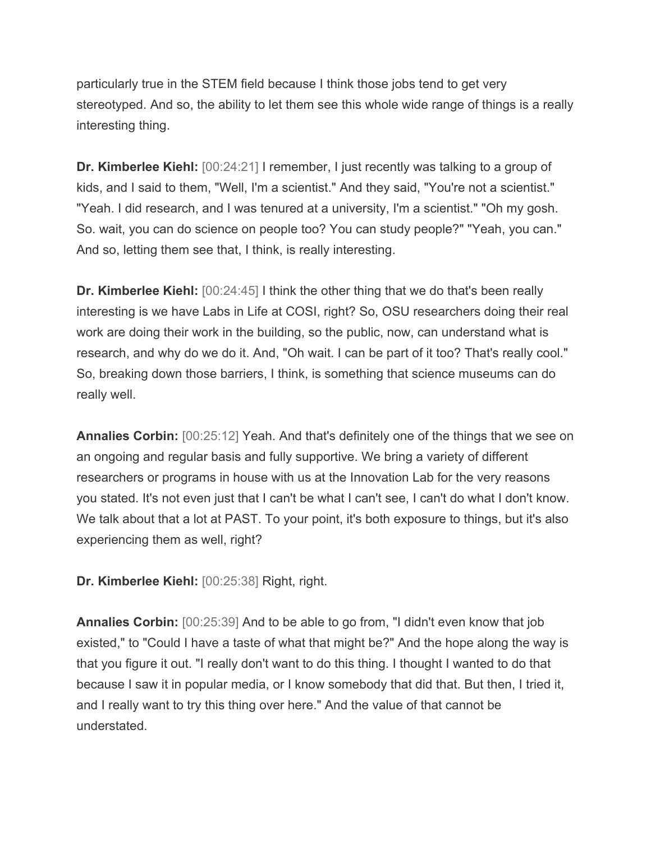particularly true in the STEM field because I think those jobs tend to get very stereotyped. And so, the ability to let them see this whole wide range of things is a really interesting thing.

**Dr. Kimberlee Kiehl:** [00:24:21] I remember, I just recently was talking to a group of kids, and I said to them, "Well, I'm a scientist." And they said, "You're not a scientist." "Yeah. I did research, and I was tenured at a university, I'm a scientist." "Oh my gosh. So. wait, you can do science on people too? You can study people?" "Yeah, you can." And so, letting them see that, I think, is really interesting.

**Dr. Kimberlee Kiehl:** [00:24:45] I think the other thing that we do that's been really interesting is we have Labs in Life at COSI, right? So, OSU researchers doing their real work are doing their work in the building, so the public, now, can understand what is research, and why do we do it. And, "Oh wait. I can be part of it too? That's really cool." So, breaking down those barriers, I think, is something that science museums can do really well.

**Annalies Corbin:** [00:25:12] Yeah. And that's definitely one of the things that we see on an ongoing and regular basis and fully supportive. We bring a variety of different researchers or programs in house with us at the Innovation Lab for the very reasons you stated. It's not even just that I can't be what I can't see, I can't do what I don't know. We talk about that a lot at PAST. To your point, it's both exposure to things, but it's also experiencing them as well, right?

**Dr. Kimberlee Kiehl:** [00:25:38] Right, right.

**Annalies Corbin:** [00:25:39] And to be able to go from, "I didn't even know that job existed," to "Could I have a taste of what that might be?" And the hope along the way is that you figure it out. "I really don't want to do this thing. I thought I wanted to do that because I saw it in popular media, or I know somebody that did that. But then, I tried it, and I really want to try this thing over here." And the value of that cannot be understated.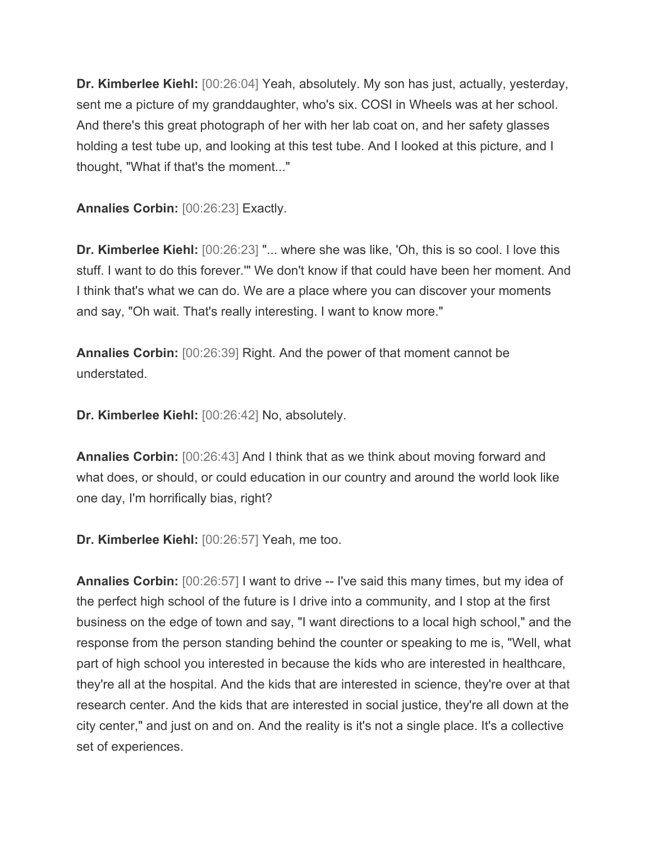**Dr. Kimberlee Kiehl:** [00:26:04] Yeah, absolutely. My son has just, actually, yesterday, sent me a picture of my granddaughter, who's six. COSI in Wheels was at her school. And there's this great photograph of her with her lab coat on, and her safety glasses holding a test tube up, and looking at this test tube. And I looked at this picture, and I thought, "What if that's the moment..."

**Annalies Corbin:** [00:26:23] Exactly.

**Dr. Kimberlee Kiehl:** [00:26:23] "... where she was like, 'Oh, this is so cool. I love this stuff. I want to do this forever.'" We don't know if that could have been her moment. And I think that's what we can do. We are a place where you can discover your moments and say, "Oh wait. That's really interesting. I want to know more."

**Annalies Corbin:** [00:26:39] Right. And the power of that moment cannot be understated.

**Dr. Kimberlee Kiehl:** [00:26:42] No, absolutely.

**Annalies Corbin:** [00:26:43] And I think that as we think about moving forward and what does, or should, or could education in our country and around the world look like one day, I'm horrifically bias, right?

**Dr. Kimberlee Kiehl:** [00:26:57] Yeah, me too.

**Annalies Corbin:** [00:26:57] I want to drive -- I've said this many times, but my idea of the perfect high school of the future is I drive into a community, and I stop at the first business on the edge of town and say, "I want directions to a local high school," and the response from the person standing behind the counter or speaking to me is, "Well, what part of high school you interested in because the kids who are interested in healthcare, they're all at the hospital. And the kids that are interested in science, they're over at that research center. And the kids that are interested in social justice, they're all down at the city center," and just on and on. And the reality is it's not a single place. It's a collective set of experiences.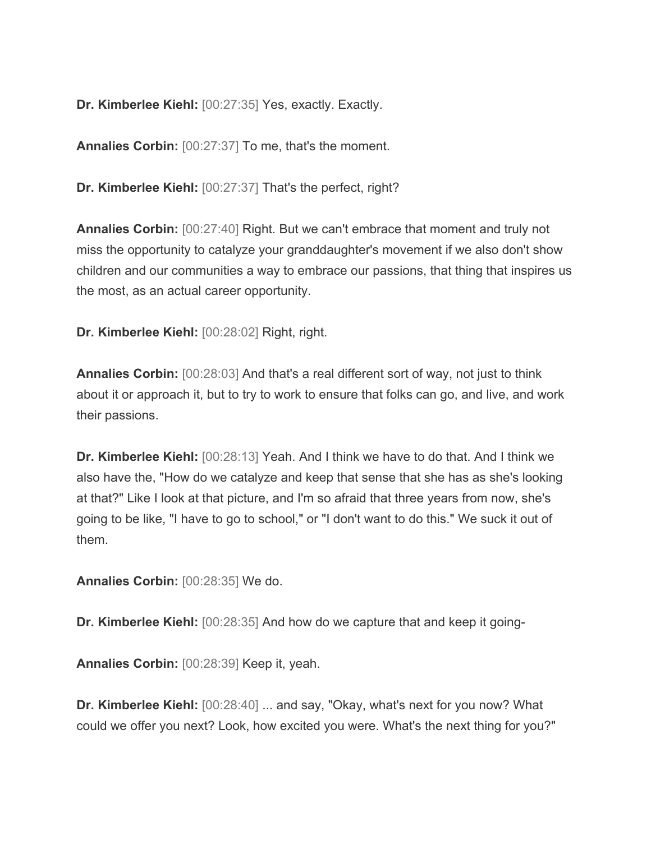**Dr. Kimberlee Kiehl:** [00:27:35] Yes, exactly. Exactly.

**Annalies Corbin:** [00:27:37] To me, that's the moment.

**Dr. Kimberlee Kiehl:** [00:27:37] That's the perfect, right?

**Annalies Corbin:** [00:27:40] Right. But we can't embrace that moment and truly not miss the opportunity to catalyze your granddaughter's movement if we also don't show children and our communities a way to embrace our passions, that thing that inspires us the most, as an actual career opportunity.

**Dr. Kimberlee Kiehl:** [00:28:02] Right, right.

**Annalies Corbin:** [00:28:03] And that's a real different sort of way, not just to think about it or approach it, but to try to work to ensure that folks can go, and live, and work their passions.

**Dr. Kimberlee Kiehl:** [00:28:13] Yeah. And I think we have to do that. And I think we also have the, "How do we catalyze and keep that sense that she has as she's looking at that?" Like I look at that picture, and I'm so afraid that three years from now, she's going to be like, "I have to go to school," or "I don't want to do this." We suck it out of them.

**Annalies Corbin:** [00:28:35] We do.

**Dr. Kimberlee Kiehl:** [00:28:35] And how do we capture that and keep it going-

**Annalies Corbin:** [00:28:39] Keep it, yeah.

**Dr. Kimberlee Kiehl:** [00:28:40] ... and say, "Okay, what's next for you now? What could we offer you next? Look, how excited you were. What's the next thing for you?"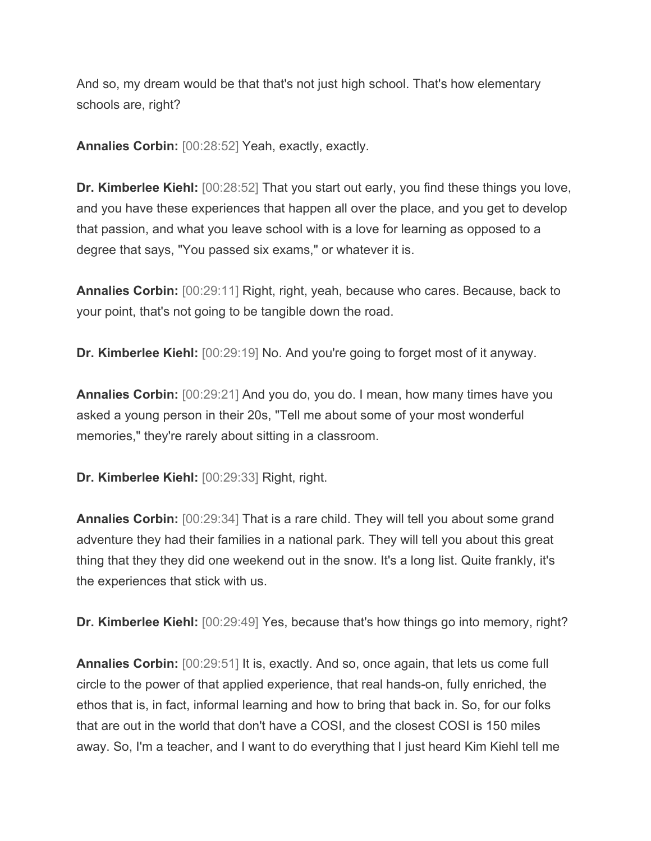And so, my dream would be that that's not just high school. That's how elementary schools are, right?

**Annalies Corbin:** [00:28:52] Yeah, exactly, exactly.

**Dr. Kimberlee Kiehl:** [00:28:52] That you start out early, you find these things you love, and you have these experiences that happen all over the place, and you get to develop that passion, and what you leave school with is a love for learning as opposed to a degree that says, "You passed six exams," or whatever it is.

**Annalies Corbin:** [00:29:11] Right, right, yeah, because who cares. Because, back to your point, that's not going to be tangible down the road.

**Dr. Kimberlee Kiehl:** [00:29:19] No. And you're going to forget most of it anyway.

**Annalies Corbin:** [00:29:21] And you do, you do. I mean, how many times have you asked a young person in their 20s, "Tell me about some of your most wonderful memories," they're rarely about sitting in a classroom.

**Dr. Kimberlee Kiehl:** [00:29:33] Right, right.

**Annalies Corbin:** [00:29:34] That is a rare child. They will tell you about some grand adventure they had their families in a national park. They will tell you about this great thing that they they did one weekend out in the snow. It's a long list. Quite frankly, it's the experiences that stick with us.

**Dr. Kimberlee Kiehl:** [00:29:49] Yes, because that's how things go into memory, right?

**Annalies Corbin:**  $[00:29:51]$  It is, exactly. And so, once again, that lets us come full circle to the power of that applied experience, that real hands-on, fully enriched, the ethos that is, in fact, informal learning and how to bring that back in. So, for our folks that are out in the world that don't have a COSI, and the closest COSI is 150 miles away. So, I'm a teacher, and I want to do everything that I just heard Kim Kiehl tell me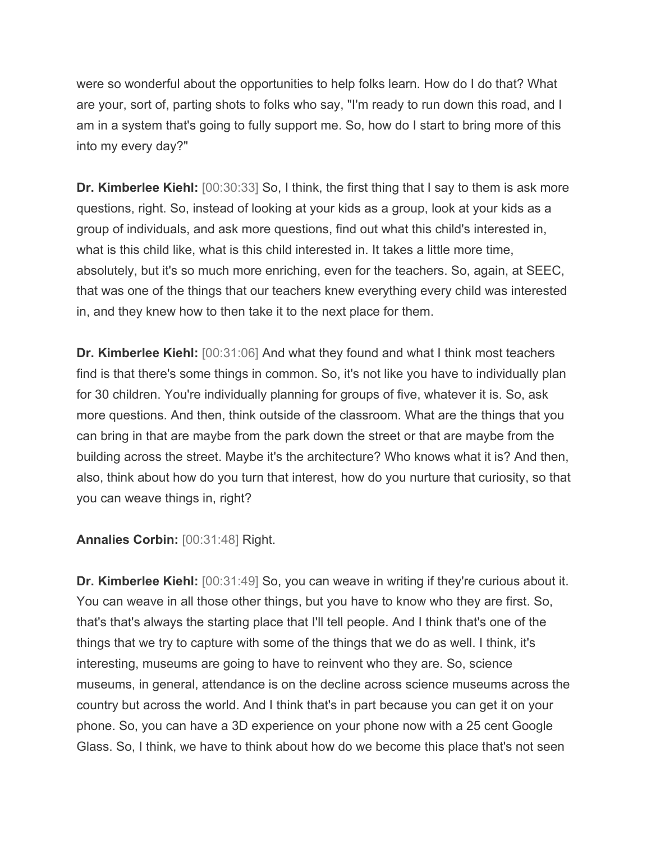were so wonderful about the opportunities to help folks learn. How do I do that? What are your, sort of, parting shots to folks who say, "I'm ready to run down this road, and I am in a system that's going to fully support me. So, how do I start to bring more of this into my every day?"

**Dr. Kimberlee Kiehl:** [00:30:33] So, I think, the first thing that I say to them is ask more questions, right. So, instead of looking at your kids as a group, look at your kids as a group of individuals, and ask more questions, find out what this child's interested in, what is this child like, what is this child interested in. It takes a little more time, absolutely, but it's so much more enriching, even for the teachers. So, again, at SEEC, that was one of the things that our teachers knew everything every child was interested in, and they knew how to then take it to the next place for them.

**Dr. Kimberlee Kiehl:** [00:31:06] And what they found and what I think most teachers find is that there's some things in common. So, it's not like you have to individually plan for 30 children. You're individually planning for groups of five, whatever it is. So, ask more questions. And then, think outside of the classroom. What are the things that you can bring in that are maybe from the park down the street or that are maybe from the building across the street. Maybe it's the architecture? Who knows what it is? And then, also, think about how do you turn that interest, how do you nurture that curiosity, so that you can weave things in, right?

**Annalies Corbin:** [00:31:48] Right.

**Dr. Kimberlee Kiehl:** [00:31:49] So, you can weave in writing if they're curious about it. You can weave in all those other things, but you have to know who they are first. So, that's that's always the starting place that I'll tell people. And I think that's one of the things that we try to capture with some of the things that we do as well. I think, it's interesting, museums are going to have to reinvent who they are. So, science museums, in general, attendance is on the decline across science museums across the country but across the world. And I think that's in part because you can get it on your phone. So, you can have a 3D experience on your phone now with a 25 cent Google Glass. So, I think, we have to think about how do we become this place that's not seen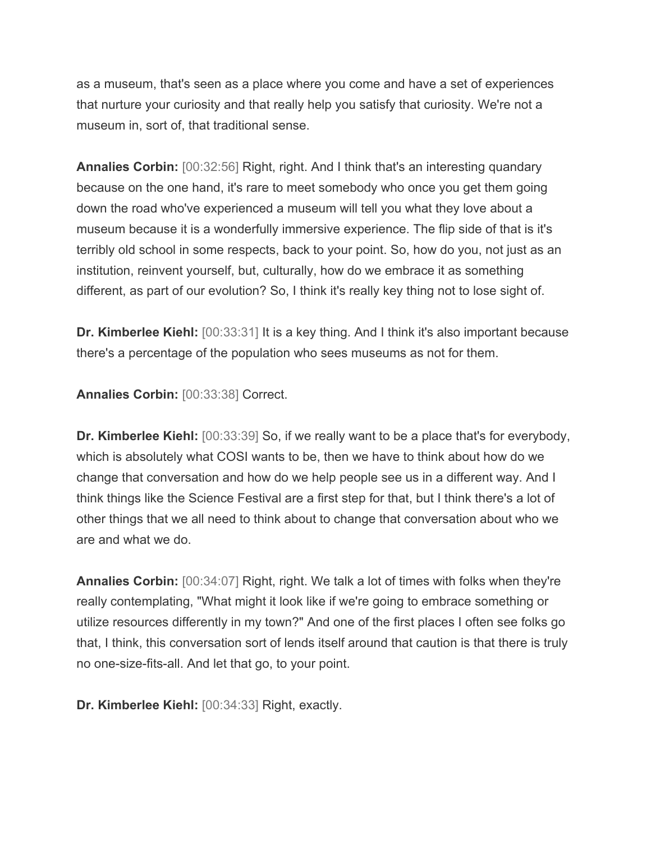as a museum, that's seen as a place where you come and have a set of experiences that nurture your curiosity and that really help you satisfy that curiosity. We're not a museum in, sort of, that traditional sense.

**Annalies Corbin:** [00:32:56] Right, right. And I think that's an interesting quandary because on the one hand, it's rare to meet somebody who once you get them going down the road who've experienced a museum will tell you what they love about a museum because it is a wonderfully immersive experience. The flip side of that is it's terribly old school in some respects, back to your point. So, how do you, not just as an institution, reinvent yourself, but, culturally, how do we embrace it as something different, as part of our evolution? So, I think it's really key thing not to lose sight of.

**Dr. Kimberlee Kiehl:** [00:33:31] It is a key thing. And I think it's also important because there's a percentage of the population who sees museums as not for them.

**Annalies Corbin:** [00:33:38] Correct.

**Dr. Kimberlee Kiehl:** [00:33:39] So, if we really want to be a place that's for everybody, which is absolutely what COSI wants to be, then we have to think about how do we change that conversation and how do we help people see us in a different way. And I think things like the Science Festival are a first step for that, but I think there's a lot of other things that we all need to think about to change that conversation about who we are and what we do.

**Annalies Corbin:** [00:34:07] Right, right. We talk a lot of times with folks when they're really contemplating, "What might it look like if we're going to embrace something or utilize resources differently in my town?" And one of the first places I often see folks go that, I think, this conversation sort of lends itself around that caution is that there is truly no one-size-fits-all. And let that go, to your point.

**Dr. Kimberlee Kiehl:** [00:34:33] Right, exactly.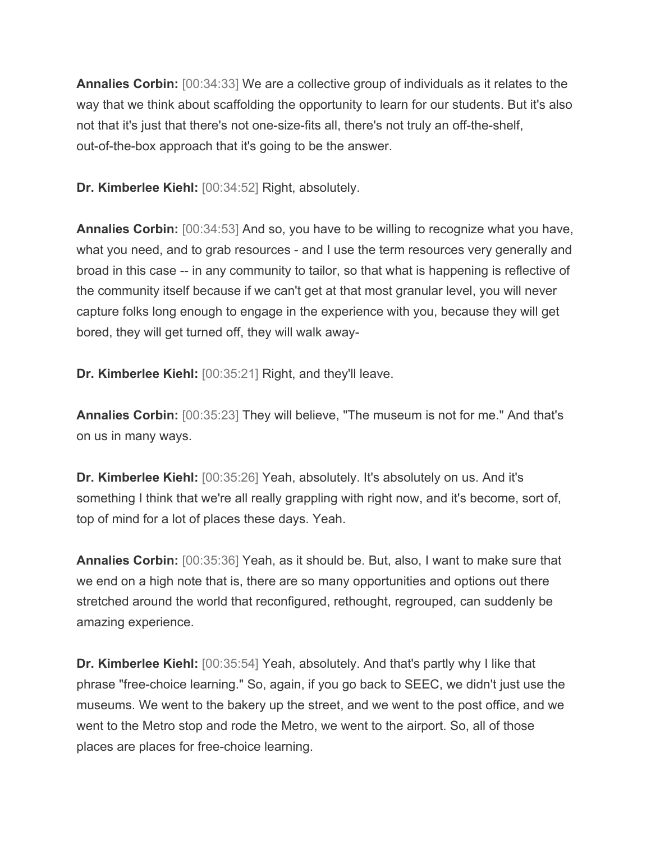**Annalies Corbin:** [00:34:33] We are a collective group of individuals as it relates to the way that we think about scaffolding the opportunity to learn for our students. But it's also not that it's just that there's not one-size-fits all, there's not truly an off-the-shelf, out-of-the-box approach that it's going to be the answer.

**Dr. Kimberlee Kiehl:** [00:34:52] Right, absolutely.

**Annalies Corbin:** [00:34:53] And so, you have to be willing to recognize what you have, what you need, and to grab resources - and I use the term resources very generally and broad in this case -- in any community to tailor, so that what is happening is reflective of the community itself because if we can't get at that most granular level, you will never capture folks long enough to engage in the experience with you, because they will get bored, they will get turned off, they will walk away-

**Dr. Kimberlee Kiehl:** [00:35:21] Right, and they'll leave.

**Annalies Corbin:** [00:35:23] They will believe, "The museum is not for me." And that's on us in many ways.

**Dr. Kimberlee Kiehl:** [00:35:26] Yeah, absolutely. It's absolutely on us. And it's something I think that we're all really grappling with right now, and it's become, sort of, top of mind for a lot of places these days. Yeah.

**Annalies Corbin:** [00:35:36] Yeah, as it should be. But, also, I want to make sure that we end on a high note that is, there are so many opportunities and options out there stretched around the world that reconfigured, rethought, regrouped, can suddenly be amazing experience.

**Dr. Kimberlee Kiehl:** [00:35:54] Yeah, absolutely. And that's partly why I like that phrase "free-choice learning." So, again, if you go back to SEEC, we didn't just use the museums. We went to the bakery up the street, and we went to the post office, and we went to the Metro stop and rode the Metro, we went to the airport. So, all of those places are places for free-choice learning.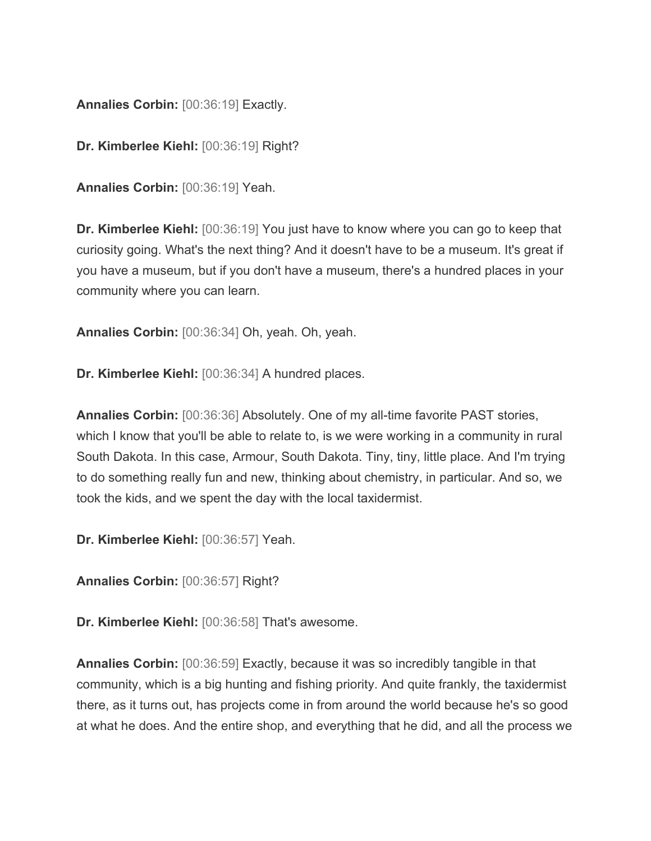**Annalies Corbin:** [00:36:19] Exactly.

**Dr. Kimberlee Kiehl:** [00:36:19] Right?

**Annalies Corbin:** [00:36:19] Yeah.

**Dr. Kimberlee Kiehl:** [00:36:19] You just have to know where you can go to keep that curiosity going. What's the next thing? And it doesn't have to be a museum. It's great if you have a museum, but if you don't have a museum, there's a hundred places in your community where you can learn.

**Annalies Corbin:** [00:36:34] Oh, yeah. Oh, yeah.

**Dr. Kimberlee Kiehl:** [00:36:34] A hundred places.

**Annalies Corbin:** [00:36:36] Absolutely. One of my all-time favorite PAST stories, which I know that you'll be able to relate to, is we were working in a community in rural South Dakota. In this case, Armour, South Dakota. Tiny, tiny, little place. And I'm trying to do something really fun and new, thinking about chemistry, in particular. And so, we took the kids, and we spent the day with the local taxidermist.

**Dr. Kimberlee Kiehl:** [00:36:57] Yeah.

**Annalies Corbin:** [00:36:57] Right?

**Dr. Kimberlee Kiehl:** [00:36:58] That's awesome.

**Annalies Corbin:** [00:36:59] Exactly, because it was so incredibly tangible in that community, which is a big hunting and fishing priority. And quite frankly, the taxidermist there, as it turns out, has projects come in from around the world because he's so good at what he does. And the entire shop, and everything that he did, and all the process we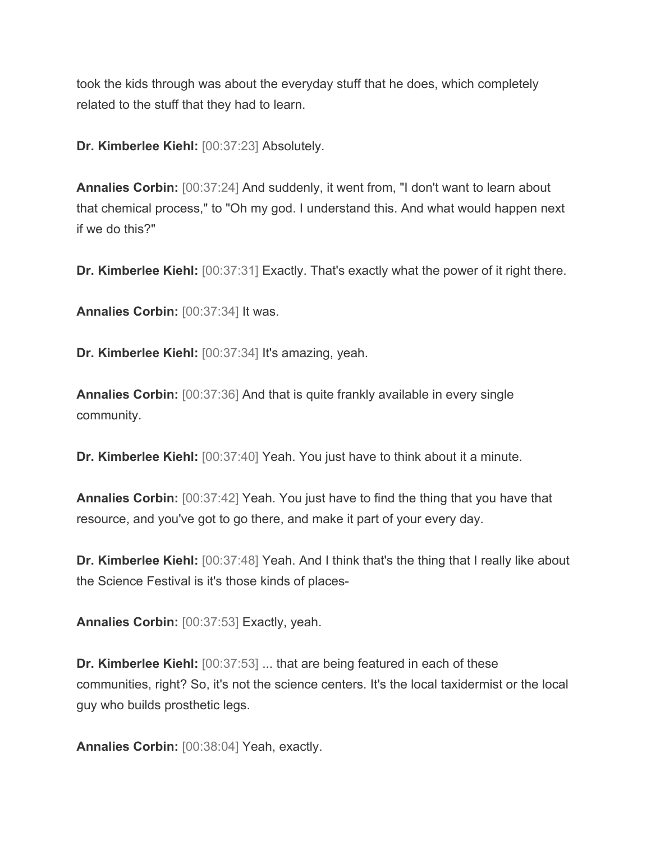took the kids through was about the everyday stuff that he does, which completely related to the stuff that they had to learn.

**Dr. Kimberlee Kiehl:** [00:37:23] Absolutely.

**Annalies Corbin:** [00:37:24] And suddenly, it went from, "I don't want to learn about that chemical process," to "Oh my god. I understand this. And what would happen next if we do this?"

**Dr. Kimberlee Kiehl:** [00:37:31] Exactly. That's exactly what the power of it right there.

**Annalies Corbin:** [00:37:34] It was.

**Dr. Kimberlee Kiehl:** [00:37:34] It's amazing, yeah.

**Annalies Corbin:** [00:37:36] And that is quite frankly available in every single community.

**Dr. Kimberlee Kiehl:** [00:37:40] Yeah. You just have to think about it a minute.

**Annalies Corbin:** [00:37:42] Yeah. You just have to find the thing that you have that resource, and you've got to go there, and make it part of your every day.

**Dr. Kimberlee Kiehl:** [00:37:48] Yeah. And I think that's the thing that I really like about the Science Festival is it's those kinds of places-

**Annalies Corbin:** [00:37:53] Exactly, yeah.

**Dr. Kimberlee Kiehl:** [00:37:53] ... that are being featured in each of these communities, right? So, it's not the science centers. It's the local taxidermist or the local guy who builds prosthetic legs.

**Annalies Corbin:** [00:38:04] Yeah, exactly.